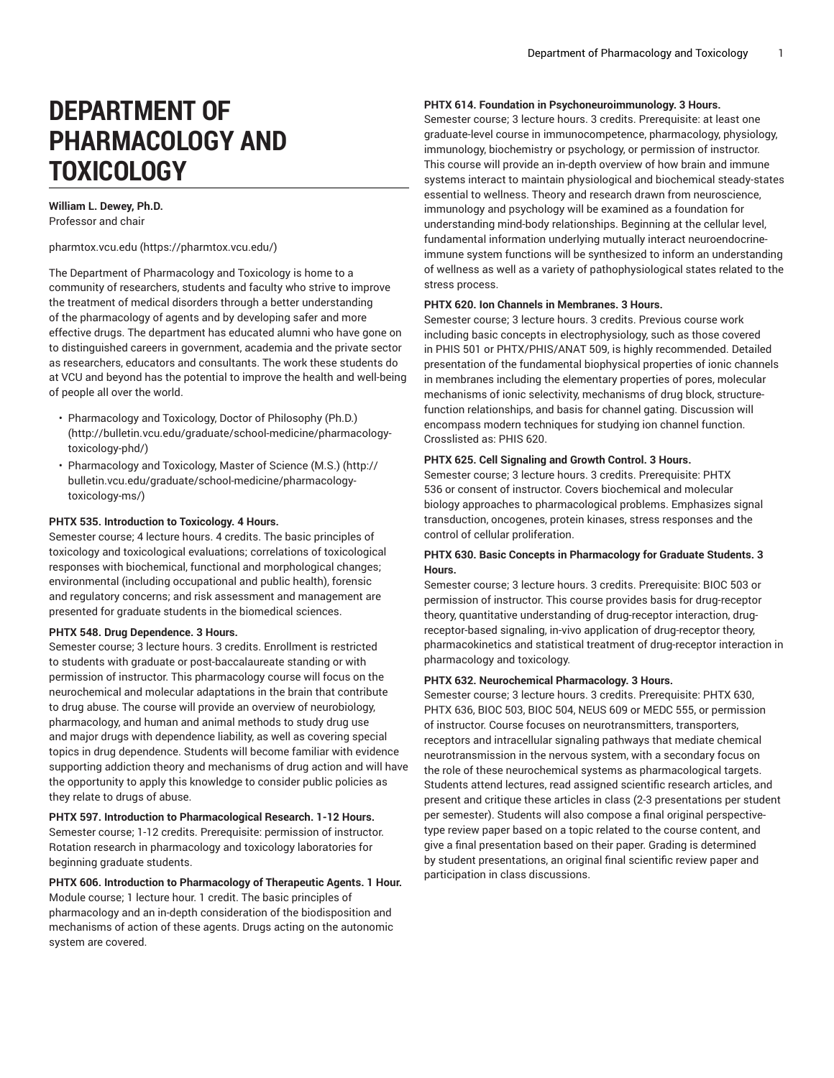# **DEPARTMENT OF PHARMACOLOGY AND TOXICOLOGY**

#### **William L. Dewey, Ph.D.** Professor and chair

[pharmtox.vcu.edu \(https://pharmtox.vcu.edu/\)](https://pharmtox.vcu.edu/)

The Department of Pharmacology and Toxicology is home to a community of researchers, students and faculty who strive to improve the treatment of medical disorders through a better understanding of the pharmacology of agents and by developing safer and more effective drugs. The department has educated alumni who have gone on to distinguished careers in government, academia and the private sector as researchers, educators and consultants. The work these students do at VCU and beyond has the potential to improve the health and well-being of people all over the world.

- [Pharmacology](http://bulletin.vcu.edu/graduate/school-medicine/pharmacology-toxicology-phd/) and Toxicology, Doctor of Philosophy (Ph.D.) ([http://bulletin.vcu.edu/graduate/school-medicine/pharmacology](http://bulletin.vcu.edu/graduate/school-medicine/pharmacology-toxicology-phd/)[toxicology-phd/](http://bulletin.vcu.edu/graduate/school-medicine/pharmacology-toxicology-phd/))
- [Pharmacology](http://bulletin.vcu.edu/graduate/school-medicine/pharmacology-toxicology-ms/) and Toxicology, Master of Science (M.S.) [\(http://](http://bulletin.vcu.edu/graduate/school-medicine/pharmacology-toxicology-ms/) [bulletin.vcu.edu/graduate/school-medicine/pharmacology](http://bulletin.vcu.edu/graduate/school-medicine/pharmacology-toxicology-ms/)[toxicology-ms/\)](http://bulletin.vcu.edu/graduate/school-medicine/pharmacology-toxicology-ms/)

## **PHTX 535. Introduction to Toxicology. 4 Hours.**

Semester course; 4 lecture hours. 4 credits. The basic principles of toxicology and toxicological evaluations; correlations of toxicological responses with biochemical, functional and morphological changes; environmental (including occupational and public health), forensic and regulatory concerns; and risk assessment and management are presented for graduate students in the biomedical sciences.

#### **PHTX 548. Drug Dependence. 3 Hours.**

Semester course; 3 lecture hours. 3 credits. Enrollment is restricted to students with graduate or post-baccalaureate standing or with permission of instructor. This pharmacology course will focus on the neurochemical and molecular adaptations in the brain that contribute to drug abuse. The course will provide an overview of neurobiology, pharmacology, and human and animal methods to study drug use and major drugs with dependence liability, as well as covering special topics in drug dependence. Students will become familiar with evidence supporting addiction theory and mechanisms of drug action and will have the opportunity to apply this knowledge to consider public policies as they relate to drugs of abuse.

# **PHTX 597. Introduction to Pharmacological Research. 1-12 Hours.**

Semester course; 1-12 credits. Prerequisite: permission of instructor. Rotation research in pharmacology and toxicology laboratories for beginning graduate students.

# **PHTX 606. Introduction to Pharmacology of Therapeutic Agents. 1 Hour.** Module course; 1 lecture hour. 1 credit. The basic principles of pharmacology and an in-depth consideration of the biodisposition and mechanisms of action of these agents. Drugs acting on the autonomic system are covered.

## **PHTX 614. Foundation in Psychoneuroimmunology. 3 Hours.**

Semester course; 3 lecture hours. 3 credits. Prerequisite: at least one graduate-level course in immunocompetence, pharmacology, physiology, immunology, biochemistry or psychology, or permission of instructor. This course will provide an in-depth overview of how brain and immune systems interact to maintain physiological and biochemical steady-states essential to wellness. Theory and research drawn from neuroscience, immunology and psychology will be examined as a foundation for understanding mind-body relationships. Beginning at the cellular level, fundamental information underlying mutually interact neuroendocrineimmune system functions will be synthesized to inform an understanding of wellness as well as a variety of pathophysiological states related to the stress process.

#### **PHTX 620. Ion Channels in Membranes. 3 Hours.**

Semester course; 3 lecture hours. 3 credits. Previous course work including basic concepts in electrophysiology, such as those covered in PHIS 501 or PHTX/PHIS/ANAT 509, is highly recommended. Detailed presentation of the fundamental biophysical properties of ionic channels in membranes including the elementary properties of pores, molecular mechanisms of ionic selectivity, mechanisms of drug block, structurefunction relationships, and basis for channel gating. Discussion will encompass modern techniques for studying ion channel function. Crosslisted as: PHIS 620.

## **PHTX 625. Cell Signaling and Growth Control. 3 Hours.**

Semester course; 3 lecture hours. 3 credits. Prerequisite: PHTX 536 or consent of instructor. Covers biochemical and molecular biology approaches to pharmacological problems. Emphasizes signal transduction, oncogenes, protein kinases, stress responses and the control of cellular proliferation.

## **PHTX 630. Basic Concepts in Pharmacology for Graduate Students. 3 Hours.**

Semester course; 3 lecture hours. 3 credits. Prerequisite: BIOC 503 or permission of instructor. This course provides basis for drug-receptor theory, quantitative understanding of drug-receptor interaction, drugreceptor-based signaling, in-vivo application of drug-receptor theory, pharmacokinetics and statistical treatment of drug-receptor interaction in pharmacology and toxicology.

## **PHTX 632. Neurochemical Pharmacology. 3 Hours.**

Semester course; 3 lecture hours. 3 credits. Prerequisite: PHTX 630, PHTX 636, BIOC 503, BIOC 504, NEUS 609 or MEDC 555, or permission of instructor. Course focuses on neurotransmitters, transporters, receptors and intracellular signaling pathways that mediate chemical neurotransmission in the nervous system, with a secondary focus on the role of these neurochemical systems as pharmacological targets. Students attend lectures, read assigned scientific research articles, and present and critique these articles in class (2-3 presentations per student per semester). Students will also compose a final original perspectivetype review paper based on a topic related to the course content, and give a final presentation based on their paper. Grading is determined by student presentations, an original final scientific review paper and participation in class discussions.